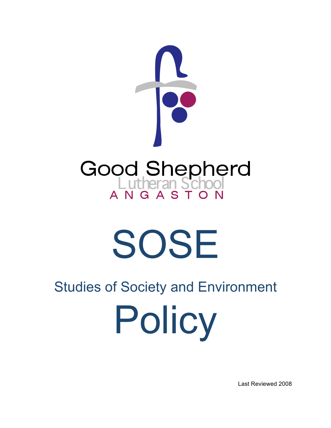

# SOSE

# Studies of Society and Environment

Policy

Last Reviewed 2008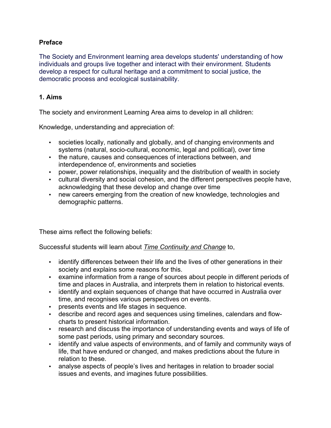## **Preface**

The Society and Environment learning area develops students' understanding of how individuals and groups live together and interact with their environment. Students develop a respect for cultural heritage and a commitment to social justice, the democratic process and ecological sustainability.

#### **1. Aims**

The society and environment Learning Area aims to develop in all children:

Knowledge, understanding and appreciation of:

- societies locally, nationally and globally, and of changing environments and systems (natural, socio-cultural, economic, legal and political), over time
- the nature, causes and consequences of interactions between, and interdependence of, environments and societies
- power, power relationships, inequality and the distribution of wealth in society
- cultural diversity and social cohesion, and the different perspectives people have, acknowledging that these develop and change over time
- new careers emerging from the creation of new knowledge, technologies and demographic patterns.

These aims reflect the following beliefs:

Successful students will learn about *Time Continuity and Change* to,

- identify differences between their life and the lives of other generations in their society and explains some reasons for this.
- examine information from a range of sources about people in different periods of time and places in Australia, and interprets them in relation to historical events.
- identify and explain sequences of change that have occurred in Australia over time, and recognises various perspectives on events.
- presents events and life stages in sequence.
- describe and record ages and sequences using timelines, calendars and flowcharts to present historical information.
- research and discuss the importance of understanding events and ways of life of some past periods, using primary and secondary sources.
- identify and value aspects of environments, and of family and community ways of life, that have endured or changed, and makes predictions about the future in relation to these.
- analyse aspects of people's lives and heritages in relation to broader social issues and events, and imagines future possibilities.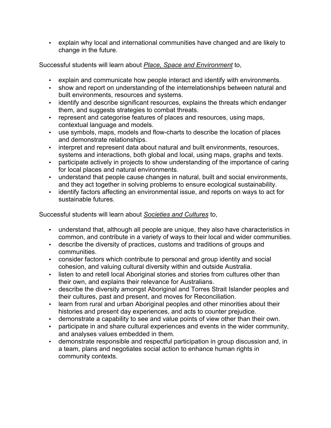• explain why local and international communities have changed and are likely to change in the future.

Successful students will learn about *Place, Space and Environment* to,

- explain and communicate how people interact and identify with environments.
- show and report on understanding of the interrelationships between natural and built environments, resources and systems.
- identify and describe significant resources, explains the threats which endanger them, and suggests strategies to combat threats.
- represent and categorise features of places and resources, using maps, contextual language and models.
- use symbols, maps, models and flow-charts to describe the location of places and demonstrate relationships.
- interpret and represent data about natural and built environments, resources, systems and interactions, both global and local, using maps, graphs and texts.
- participate actively in projects to show understanding of the importance of caring for local places and natural environments.
- understand that people cause changes in natural, built and social environments, and they act together in solving problems to ensure ecological sustainability.
- identify factors affecting an environmental issue, and reports on ways to act for sustainable futures.

Successful students will learn about *Societies and Cultures* to,

- understand that, although all people are unique, they also have characteristics in common, and contribute in a variety of ways to their local and wider communities.
- describe the diversity of practices, customs and traditions of groups and communities.
- consider factors which contribute to personal and group identity and social cohesion, and valuing cultural diversity within and outside Australia.
- listen to and retell local Aboriginal stories and stories from cultures other than their own, and explains their relevance for Australians.
- describe the diversity amongst Aboriginal and Torres Strait Islander peoples and their cultures, past and present, and moves for Reconciliation.
- learn from rural and urban Aboriginal peoples and other minorities about their histories and present day experiences, and acts to counter prejudice.
- demonstrate a capability to see and value points of view other than their own.
- participate in and share cultural experiences and events in the wider community, and analyses values embedded in them.
- demonstrate responsible and respectful participation in group discussion and, in a team, plans and negotiates social action to enhance human rights in community contexts.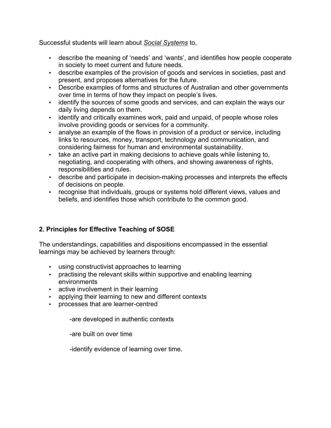Successful students will learn about *Social Systems* to,

- describe the meaning of 'needs' and 'wants', and identifies how people cooperate in society to meet current and future needs.
- describe examples of the provision of goods and services in societies, past and present, and proposes alternatives for the future.
- Describe examples of forms and structures of Australian and other governments over time in terms of how they impact on people's lives.
- identify the sources of some goods and services, and can explain the ways our daily living depends on them.
- identify and critically examines work, paid and unpaid, of people whose roles involve providing goods or services for a community.
- analyse an example of the flows in provision of a product or service, including links to resources, money, transport, technology and communication, and considering fairness for human and environmental sustainability.
- take an active part in making decisions to achieve goals while listening to, negotiating, and cooperating with others, and showing awareness of rights, responsibilities and rules.
- describe and participate in decision-making processes and interprets the effects of decisions on people.
- recognise that individuals, groups or systems hold different views, values and beliefs, and identifies those which contribute to the common good.

# **2. Principles for Effective Teaching of SOSE**

The understandings, capabilities and dispositions encompassed in the essential learnings may be achieved by learners through:

- using constructivist approaches to learning
- practising the relevant skills within supportive and enabling learning environments
- active involvement in their learning
- applying their learning to new and different contexts
- processes that are learner-centred

-are developed in authentic contexts

-are built on over time

-identify evidence of learning over time.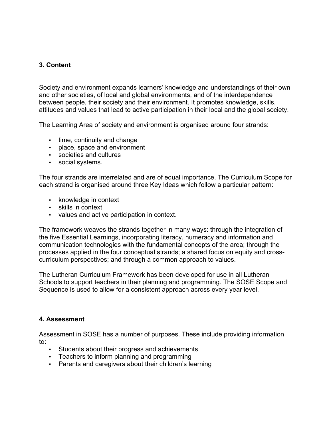### **3. Content**

Society and environment expands learners' knowledge and understandings of their own and other societies, of local and global environments, and of the interdependence between people, their society and their environment. It promotes knowledge, skills, attitudes and values that lead to active participation in their local and the global society.

The Learning Area of society and environment is organised around four strands:

- time, continuity and change
- place, space and environment
- societies and cultures
- social systems.

The four strands are interrelated and are of equal importance. The Curriculum Scope for each strand is organised around three Key Ideas which follow a particular pattern:

- knowledge in context
- skills in context
- values and active participation in context.

The framework weaves the strands together in many ways: through the integration of the five Essential Learnings, incorporating literacy, numeracy and information and communication technologies with the fundamental concepts of the area; through the processes applied in the four conceptual strands; a shared focus on equity and crosscurriculum perspectives; and through a common approach to values.

The Lutheran Curriculum Framework has been developed for use in all Lutheran Schools to support teachers in their planning and programming. The SOSE Scope and Sequence is used to allow for a consistent approach across every year level.

#### **4. Assessment**

Assessment in SOSE has a number of purposes. These include providing information to:

- Students about their progress and achievements
- Teachers to inform planning and programming
- Parents and caregivers about their children's learning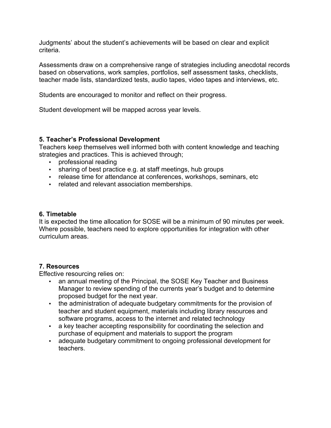Judgments' about the student's achievements will be based on clear and explicit criteria.

Assessments draw on a comprehensive range of strategies including anecdotal records based on observations, work samples, portfolios, self assessment tasks, checklists, teacher made lists, standardized tests, audio tapes, video tapes and interviews, etc.

Students are encouraged to monitor and reflect on their progress.

Student development will be mapped across year levels.

#### **5. Teacher's Professional Development**

Teachers keep themselves well informed both with content knowledge and teaching strategies and practices. This is achieved through;

- professional reading
- sharing of best practice e.g. at staff meetings, hub groups
- release time for attendance at conferences, workshops, seminars, etc
- related and relevant association memberships.

#### **6. Timetable**

It is expected the time allocation for SOSE will be a minimum of 90 minutes per week. Where possible, teachers need to explore opportunities for integration with other curriculum areas.

#### **7. Resources**

Effective resourcing relies on:

- an annual meeting of the Principal, the SOSE Key Teacher and Business Manager to review spending of the currents year's budget and to determine proposed budget for the next year.
- the administration of adequate budgetary commitments for the provision of teacher and student equipment, materials including library resources and software programs, access to the internet and related technology
- a key teacher accepting responsibility for coordinating the selection and purchase of equipment and materials to support the program
- adequate budgetary commitment to ongoing professional development for teachers.